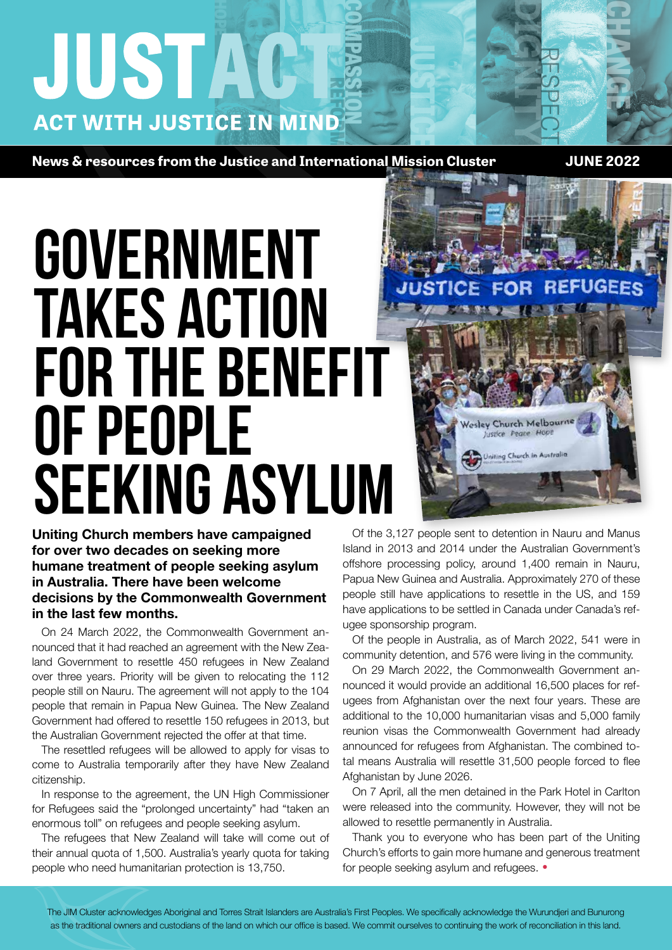## **HUSTAC ACT WITH JUSTICE IN MIND COMPASSION**

**News & resources from the Justice and International Mission Cluster <b>NEWS 2022 JUNE 2022** 

**CHANGE**

**DIGNITY**

RESPECT

# **GOVERNMENT** takes action for the benefit of people seeking asylum

**Uniting Church members have campaigned for over two decades on seeking more humane treatment of people seeking asylum in Australia. There have been welcome decisions by the Commonwealth Government in the last few months.**

On 24 March 2022, the Commonwealth Government announced that it had reached an agreement with the New Zealand Government to resettle 450 refugees in New Zealand over three years. Priority will be given to relocating the 112 people still on Nauru. The agreement will not apply to the 104 people that remain in Papua New Guinea. The New Zealand Government had offered to resettle 150 refugees in 2013, but the Australian Government rejected the offer at that time.

The resettled refugees will be allowed to apply for visas to come to Australia temporarily after they have New Zealand citizenship.

In response to the agreement, the UN High Commissioner for Refugees said the "prolonged uncertainty" had "taken an enormous toll" on refugees and people seeking asylum.

The refugees that New Zealand will take will come out of their annual quota of 1,500. Australia's yearly quota for taking people who need humanitarian protection is 13,750.

Of the 3,127 people sent to detention in Nauru and Manus Island in 2013 and 2014 under the Australian Government's offshore processing policy, around 1,400 remain in Nauru, Papua New Guinea and Australia. Approximately 270 of these people still have applications to resettle in the US, and 159 have applications to be settled in Canada under Canada's refugee sponsorship program.

Wesley Church Melbour

the Australi

**JUSTICE**

Of the people in Australia, as of March 2022, 541 were in community detention, and 576 were living in the community.

On 29 March 2022, the Commonwealth Government announced it would provide an additional 16,500 places for refugees from Afghanistan over the next four years. These are additional to the 10,000 humanitarian visas and 5,000 family reunion visas the Commonwealth Government had already announced for refugees from Afghanistan. The combined total means Australia will resettle 31,500 people forced to flee Afghanistan by June 2026.

On 7 April, all the men detained in the Park Hotel in Carlton were released into the community. However, they will not be allowed to resettle permanently in Australia.

Thank you to everyone who has been part of the Uniting Church's efforts to gain more humane and generous treatment for people seeking asylum and refugees. **•**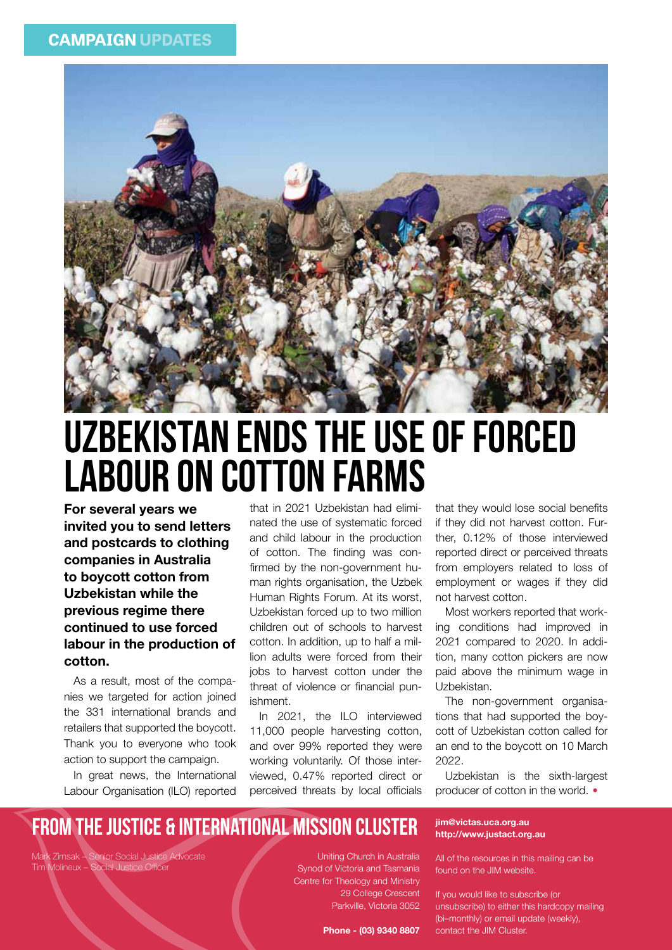

### Uzbekistan ends the use of forced labour on cotton farms

**For several years we invited you to send letters and postcards to clothing companies in Australia to boycott cotton from Uzbekistan while the previous regime there continued to use forced labour in the production of cotton.** 

As a result, most of the companies we targeted for action joined the 331 international brands and retailers that supported the boycott. Thank you to everyone who took action to support the campaign.

In great news, the International Labour Organisation (ILO) reported that in 2021 Uzbekistan had eliminated the use of systematic forced and child labour in the production of cotton. The finding was confirmed by the non-government human rights organisation, the Uzbek Human Rights Forum. At its worst, Uzbekistan forced up to two million children out of schools to harvest cotton. In addition, up to half a million adults were forced from their jobs to harvest cotton under the threat of violence or financial punishment.

In 2021, the ILO interviewed 11,000 people harvesting cotton, and over 99% reported they were working voluntarily. Of those interviewed, 0.47% reported direct or perceived threats by local officials that they would lose social benefits if they did not harvest cotton. Further, 0.12% of those interviewed reported direct or perceived threats from employers related to loss of employment or wages if they did not harvest cotton.

Most workers reported that working conditions had improved in 2021 compared to 2020. In addition, many cotton pickers are now paid above the minimum wage in Uzbekistan.

The non-government organisations that had supported the boycott of Uzbekistan cotton called for an end to the boycott on 10 March 2022.

Uzbekistan is the sixth-largest producer of cotton in the world. **•**

#### From the Justice & International Mission CLUSTER

Mark Zirnsak – Senior Social Justice Advocate Tim Molineux – Social Justice Officer

Uniting Church in Australia Synod of Victoria and Tasmania Centre for Theology and Ministry 29 College Crescent Parkville, Victoria 3052

**Phone - (03) 9340 8807**

#### **jim@victas.uca.org.au http://www.justact.org.au**

All of the resources in this mailing can be found on the JIM website.

If you would like to subscribe (or unsubscribe) to either this hardcopy mailing (bi–monthly) or email update (weekly), contact the JIM Cluster.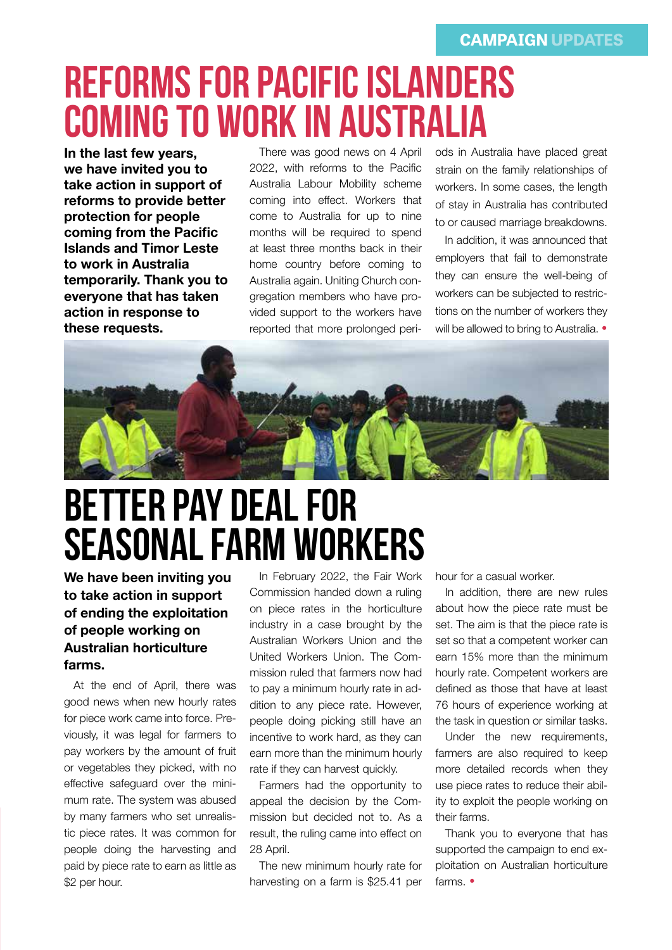## Reforms for Pacific Islanders coming to work in Australia

**In the last few years, we have invited you to take action in support of reforms to provide better protection for people coming from the Pacific Islands and Timor Leste to work in Australia temporarily. Thank you to everyone that has taken action in response to these requests.**

There was good news on 4 April 2022, with reforms to the Pacific Australia Labour Mobility scheme coming into effect. Workers that come to Australia for up to nine months will be required to spend at least three months back in their home country before coming to Australia again. Uniting Church congregation members who have provided support to the workers have reported that more prolonged peri-

ods in Australia have placed great strain on the family relationships of workers. In some cases, the length of stay in Australia has contributed to or caused marriage breakdowns.

In addition, it was announced that employers that fail to demonstrate they can ensure the well-being of workers can be subjected to restrictions on the number of workers they will be allowed to bring to Australia. **•**



### Better pay deal for seasonal farm workers

**We have been inviting you to take action in support of ending the exploitation of people working on Australian horticulture farms.** 

At the end of April, there was good news when new hourly rates for piece work came into force. Previously, it was legal for farmers to pay workers by the amount of fruit or vegetables they picked, with no effective safeguard over the minimum rate. The system was abused by many farmers who set unrealistic piece rates. It was common for people doing the harvesting and paid by piece rate to earn as little as \$2 per hour.

In February 2022, the Fair Work Commission handed down a ruling on piece rates in the horticulture industry in a case brought by the Australian Workers Union and the United Workers Union. The Commission ruled that farmers now had to pay a minimum hourly rate in addition to any piece rate. However, people doing picking still have an incentive to work hard, as they can earn more than the minimum hourly rate if they can harvest quickly.

Farmers had the opportunity to appeal the decision by the Commission but decided not to. As a result, the ruling came into effect on 28 April.

The new minimum hourly rate for harvesting on a farm is \$25.41 per

hour for a casual worker.

In addition, there are new rules about how the piece rate must be set. The aim is that the piece rate is set so that a competent worker can earn 15% more than the minimum hourly rate. Competent workers are defined as those that have at least 76 hours of experience working at the task in question or similar tasks.

Under the new requirements, farmers are also required to keep more detailed records when they use piece rates to reduce their ability to exploit the people working on their farms.

Thank you to everyone that has supported the campaign to end exploitation on Australian horticulture farms. **•**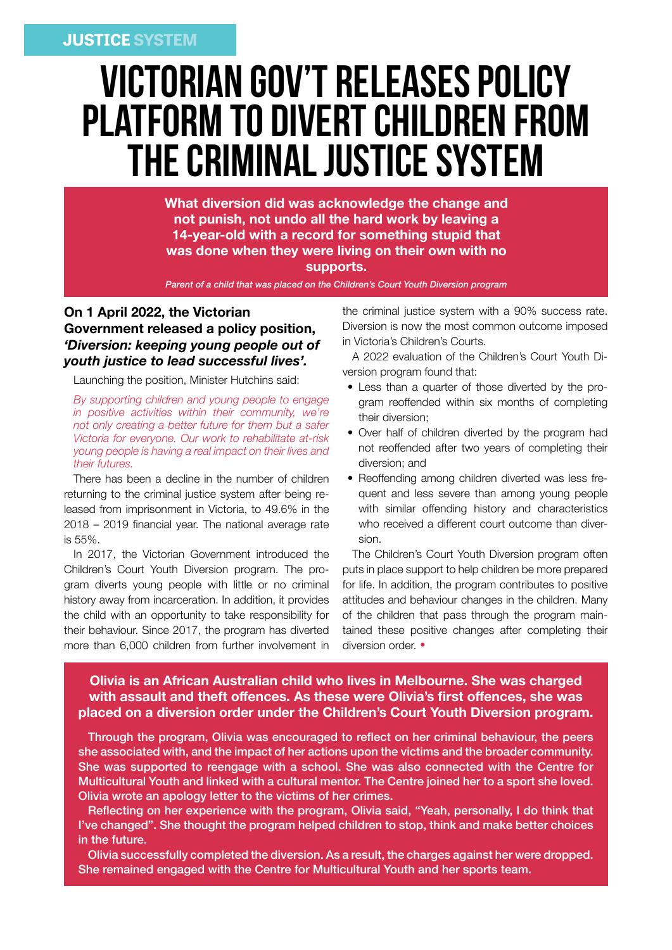### Victorian Gov't releases policy platform to divert children from the criminal justice system

**What diversion did was acknowledge the change and not punish, not undo all the hard work by leaving a 14-year-old with a record for something stupid that was done when they were living on their own with no supports.**

*Parent of a child that was placed on the Children's Court Youth Diversion program*

#### **On 1 April 2022, the Victorian Government released a policy position,**  *'Diversion: keeping young people out of youth justice to lead successful lives'.*

Launching the position, Minister Hutchins said:

*By supporting children and young people to engage in positive activities within their community, we're not only creating a better future for them but a safer Victoria for everyone. Our work to rehabilitate at-risk young people is having a real impact on their lives and their futures.*

There has been a decline in the number of children returning to the criminal justice system after being released from imprisonment in Victoria, to 49.6% in the 2018 – 2019 financial year. The national average rate is 55%.

In 2017, the Victorian Government introduced the Children's Court Youth Diversion program. The program diverts young people with little or no criminal history away from incarceration. In addition, it provides the child with an opportunity to take responsibility for their behaviour. Since 2017, the program has diverted more than 6,000 children from further involvement in

the criminal justice system with a 90% success rate. Diversion is now the most common outcome imposed in Victoria's Children's Courts.

A 2022 evaluation of the Children's Court Youth Diversion program found that:

- Less than a quarter of those diverted by the program reoffended within six months of completing their diversion;
- Over half of children diverted by the program had not reoffended after two years of completing their diversion; and
- Reoffending among children diverted was less frequent and less severe than among young people with similar offending history and characteristics who received a different court outcome than diversion.

The Children's Court Youth Diversion program often puts in place support to help children be more prepared for life. In addition, the program contributes to positive attitudes and behaviour changes in the children. Many of the children that pass through the program maintained these positive changes after completing their diversion order. **•**

#### **Olivia is an African Australian child who lives in Melbourne. She was charged with assault and theft offences. As these were Olivia's first offences, she was placed on a diversion order under the Children's Court Youth Diversion program.**

Through the program, Olivia was encouraged to reflect on her criminal behaviour, the peers she associated with, and the impact of her actions upon the victims and the broader community. She was supported to reengage with a school. She was also connected with the Centre for Multicultural Youth and linked with a cultural mentor. The Centre joined her to a sport she loved. Olivia wrote an apology letter to the victims of her crimes.

Reflecting on her experience with the program, Olivia said, "Yeah, personally, I do think that I've changed". She thought the program helped children to stop, think and make better choices in the future.

Olivia successfully completed the diversion. As a result, the charges against her were dropped. She remained engaged with the Centre for Multicultural Youth and her sports team.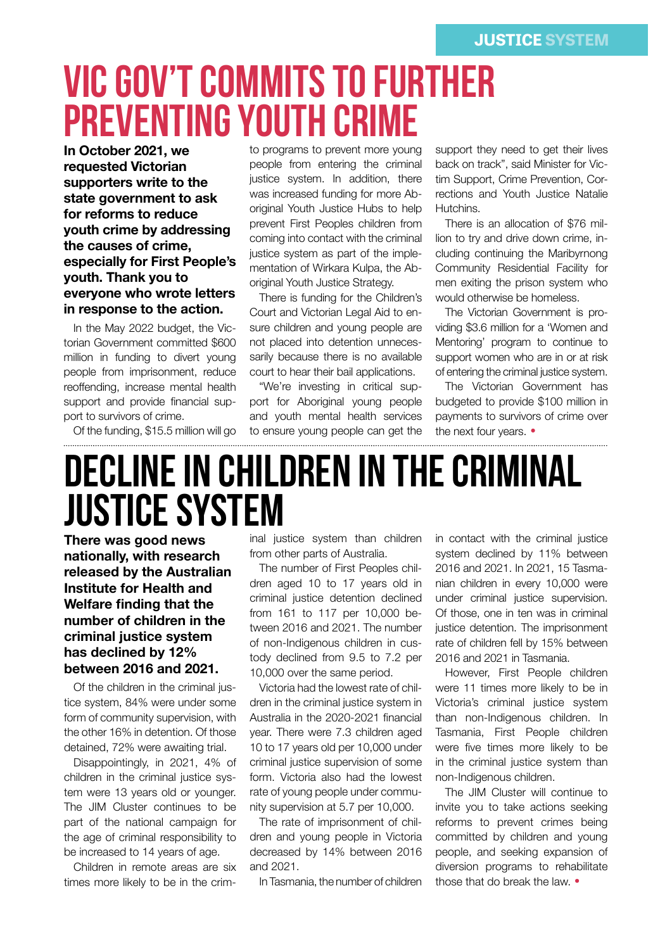## Vic Gov't commits to further preventing youth crime

**In October 2021, we requested Victorian supporters write to the state government to ask for reforms to reduce youth crime by addressing the causes of crime, especially for First People's youth. Thank you to everyone who wrote letters in response to the action.**

In the May 2022 budget, the Victorian Government committed \$600 million in funding to divert young people from imprisonment, reduce reoffending, increase mental health support and provide financial support to survivors of crime.

Of the funding, \$15.5 million will go

to programs to prevent more young people from entering the criminal justice system. In addition, there was increased funding for more Aboriginal Youth Justice Hubs to help prevent First Peoples children from coming into contact with the criminal justice system as part of the implementation of Wirkara Kulpa, the Aboriginal Youth Justice Strategy.

There is funding for the Children's Court and Victorian Legal Aid to ensure children and young people are not placed into detention unnecessarily because there is no available court to hear their bail applications.

"We're investing in critical support for Aboriginal young people and youth mental health services to ensure young people can get the support they need to get their lives back on track", said Minister for Victim Support, Crime Prevention, Corrections and Youth Justice Natalie Hutchins.

There is an allocation of \$76 million to try and drive down crime, including continuing the Maribyrnong Community Residential Facility for men exiting the prison system who would otherwise be homeless.

The Victorian Government is providing \$3.6 million for a 'Women and Mentoring' program to continue to support women who are in or at risk of entering the criminal justice system.

The Victorian Government has budgeted to provide \$100 million in payments to survivors of crime over the next four years. **•**

#### Decline in children in the criminal justice system

**There was good news nationally, with research released by the Australian Institute for Health and Welfare finding that the number of children in the criminal justice system has declined by 12% between 2016 and 2021.** 

Of the children in the criminal justice system, 84% were under some form of community supervision, with the other 16% in detention. Of those detained, 72% were awaiting trial.

Disappointingly, in 2021, 4% of children in the criminal justice system were 13 years old or younger. The JIM Cluster continues to be part of the national campaign for the age of criminal responsibility to be increased to 14 years of age.

Children in remote areas are six times more likely to be in the criminal justice system than children from other parts of Australia.

The number of First Peoples children aged 10 to 17 years old in criminal justice detention declined from 161 to 117 per 10,000 between 2016 and 2021. The number of non-Indigenous children in custody declined from 9.5 to 7.2 per 10,000 over the same period.

Victoria had the lowest rate of children in the criminal justice system in Australia in the 2020-2021 financial year. There were 7.3 children aged 10 to 17 years old per 10,000 under criminal justice supervision of some form. Victoria also had the lowest rate of young people under community supervision at 5.7 per 10,000.

The rate of imprisonment of children and young people in Victoria decreased by 14% between 2016 and 2021.

In Tasmania, the number of children

in contact with the criminal justice system declined by 11% between 2016 and 2021. In 2021, 15 Tasmanian children in every 10,000 were under criminal justice supervision. Of those, one in ten was in criminal justice detention. The imprisonment rate of children fell by 15% between 2016 and 2021 in Tasmania.

However, First People children were 11 times more likely to be in Victoria's criminal justice system than non-Indigenous children. In Tasmania, First People children were five times more likely to be in the criminal justice system than non-Indigenous children.

The JIM Cluster will continue to invite you to take actions seeking reforms to prevent crimes being committed by children and young people, and seeking expansion of diversion programs to rehabilitate those that do break the law. **•**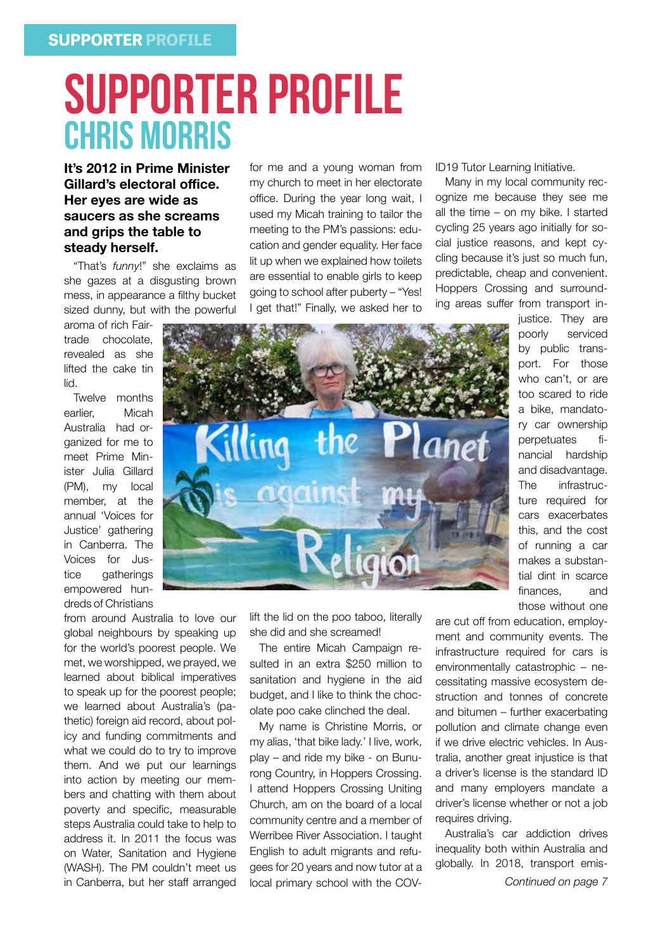### SUPPORTER PROFILE CHRIS MORRIS

#### **It's 2012 in Prime Minister Gillard's electoral office. Her eyes are wide as saucers as she screams and grips the table to steady herself.**

"That's *funny*!" she exclaims as she gazes at a disgusting brown mess, in appearance a filthy bucket sized dunny, but with the powerful

aroma of rich Fairtrade chocolate, revealed as she lifted the cake tin lid.

Twelve months earlier, Micah Australia had organized for me to meet Prime Minister Julia Gillard (PM), my local member, at the annual 'Voices for Justice' gathering in Canberra. The Voices for Justice gatherings empowered hundreds of Christians

from around Australia to love our global neighbours by speaking up for the world's poorest people. We met, we worshipped, we prayed, we learned about biblical imperatives to speak up for the poorest people; we learned about Australia's (pathetic) foreign aid record, about policy and funding commitments and what we could do to try to improve them. And we put our learnings into action by meeting our members and chatting with them about poverty and specific, measurable steps Australia could take to help to address it. In 2011 the focus was on Water, Sanitation and Hygiene (WASH). The PM couldn't meet us in Canberra, but her staff arranged

for me and a young woman from my church to meet in her electorate office. During the year long wait, I used my Micah training to tailor the meeting to the PM's passions: education and gender equality. Her face lit up when we explained how toilets are essential to enable girls to keep going to school after puberty – "Yes! I get that!" Finally, we asked her to ID19 Tutor Learning Initiative.

Many in my local community recognize me because they see me all the time – on my bike. I started cycling 25 years ago initially for social justice reasons, and kept cycling because it's just so much fun, predictable, cheap and convenient. Hoppers Crossing and surrounding areas suffer from transport in-

> justice. They are poorly serviced by public transport. For those who can't, or are too scared to ride a bike, mandatory car ownership perpetuates financial hardship and disadvantage. The infrastructure required for cars exacerbates this, and the cost of running a car makes a substantial dint in scarce finances, and those without one



lift the lid on the poo taboo, literally she did and she screamed!

The entire Micah Campaign resulted in an extra \$250 million to sanitation and hygiene in the aid budget, and I like to think the chocolate poo cake clinched the deal.

My name is Christine Morris, or my alias, 'that bike lady.' I live, work, play – and ride my bike - on Bunurong Country, in Hoppers Crossing. I attend Hoppers Crossing Uniting Church, am on the board of a local community centre and a member of Werribee River Association. I taught English to adult migrants and refugees for 20 years and now tutor at a local primary school with the COV-

are cut off from education, employment and community events. The infrastructure required for cars is environmentally catastrophic – necessitating massive ecosystem destruction and tonnes of concrete and bitumen – further exacerbating pollution and climate change even if we drive electric vehicles. In Australia, another great injustice is that a driver's license is the standard ID and many employers mandate a driver's license whether or not a job requires driving.

Australia's car addiction drives inequality both within Australia and globally. In 2018, transport emis-

*Continued on page 7*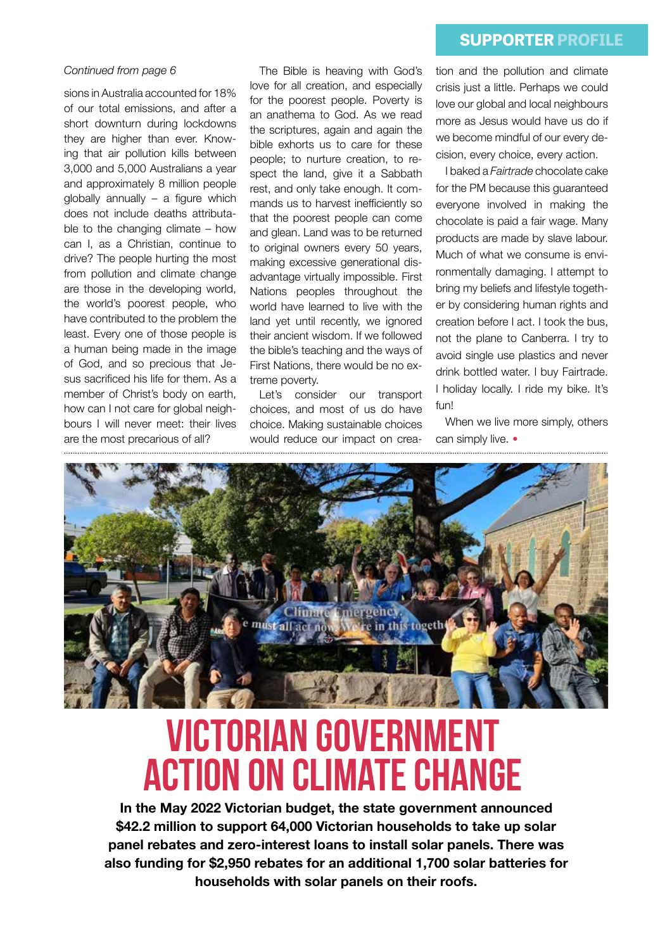#### **SUPPORTER PROFILE**

#### *Continued from page 6*

sions in Australia accounted for 18% of our total emissions, and after a short downturn during lockdowns they are higher than ever. Knowing that air pollution kills between 3,000 and 5,000 Australians a year and approximately 8 million people globally annually – a figure which does not include deaths attributable to the changing climate – how can I, as a Christian, continue to drive? The people hurting the most from pollution and climate change are those in the developing world, the world's poorest people, who have contributed to the problem the least. Every one of those people is a human being made in the image of God, and so precious that Jesus sacrificed his life for them. As a member of Christ's body on earth, how can I not care for global neighbours I will never meet: their lives are the most precarious of all?

The Bible is heaving with God's love for all creation, and especially for the poorest people. Poverty is an anathema to God. As we read the scriptures, again and again the bible exhorts us to care for these people; to nurture creation, to respect the land, give it a Sabbath rest, and only take enough. It commands us to harvest inefficiently so that the poorest people can come and glean. Land was to be returned to original owners every 50 years, making excessive generational disadvantage virtually impossible. First Nations peoples throughout the world have learned to live with the land yet until recently, we ignored their ancient wisdom. If we followed the bible's teaching and the ways of First Nations, there would be no extreme poverty.

Let's consider our transport choices, and most of us do have choice. Making sustainable choices would reduce our impact on creation and the pollution and climate crisis just a little. Perhaps we could love our global and local neighbours more as Jesus would have us do if we become mindful of our every decision, every choice, every action.

I baked a *Fairtrade* chocolate cake for the PM because this guaranteed everyone involved in making the chocolate is paid a fair wage. Many products are made by slave labour. Much of what we consume is environmentally damaging. I attempt to bring my beliefs and lifestyle together by considering human rights and creation before I act. I took the bus, not the plane to Canberra. I try to avoid single use plastics and never drink bottled water. I buy Fairtrade. I holiday locally. I ride my bike. It's fun!

When we live more simply, others can simply live. **•**



### Victorian Government action on Climate Change

**In the May 2022 Victorian budget, the state government announced \$42.2 million to support 64,000 Victorian households to take up solar panel rebates and zero-interest loans to install solar panels. There was also funding for \$2,950 rebates for an additional 1,700 solar batteries for households with solar panels on their roofs.**